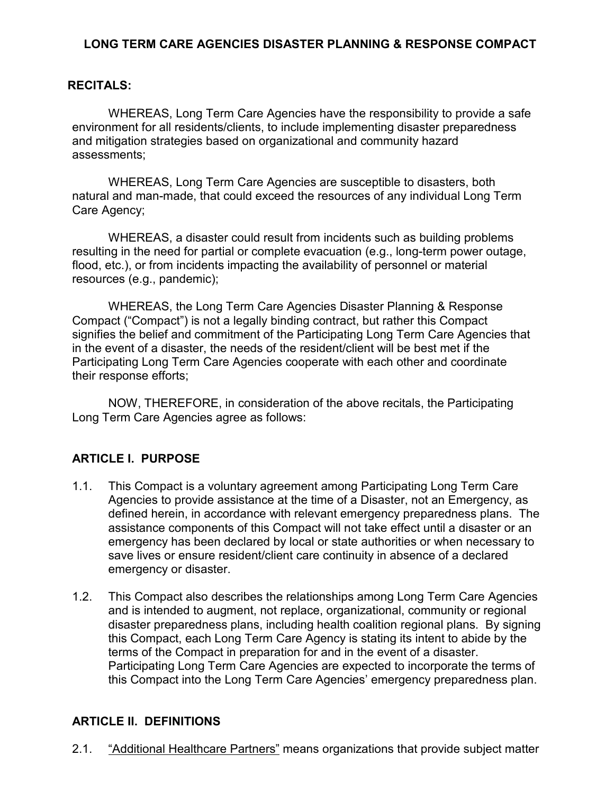#### **LONG TERM CARE AGENCIES DISASTER PLANNING & RESPONSE COMPACT**

#### **RECITALS:**

WHEREAS, Long Term Care Agencies have the responsibility to provide a safe environment for all residents/clients, to include implementing disaster preparedness and mitigation strategies based on organizational and community hazard assessments;

WHEREAS, Long Term Care Agencies are susceptible to disasters, both natural and man-made, that could exceed the resources of any individual Long Term Care Agency;

WHEREAS, a disaster could result from incidents such as building problems resulting in the need for partial or complete evacuation (e.g., long-term power outage, flood, etc.), or from incidents impacting the availability of personnel or material resources (e.g., pandemic);

WHEREAS, the Long Term Care Agencies Disaster Planning & Response Compact ("Compact") is not a legally binding contract, but rather this Compact signifies the belief and commitment of the Participating Long Term Care Agencies that in the event of a disaster, the needs of the resident/client will be best met if the Participating Long Term Care Agencies cooperate with each other and coordinate their response efforts;

NOW, THEREFORE, in consideration of the above recitals, the Participating Long Term Care Agencies agree as follows:

#### **ARTICLE I. PURPOSE**

- 1.1. This Compact is a voluntary agreement among Participating Long Term Care Agencies to provide assistance at the time of a Disaster, not an Emergency, as defined herein, in accordance with relevant emergency preparedness plans. The assistance components of this Compact will not take effect until a disaster or an emergency has been declared by local or state authorities or when necessary to save lives or ensure resident/client care continuity in absence of a declared emergency or disaster.
- 1.2. This Compact also describes the relationships among Long Term Care Agencies and is intended to augment, not replace, organizational, community or regional disaster preparedness plans, including health coalition regional plans. By signing this Compact, each Long Term Care Agency is stating its intent to abide by the terms of the Compact in preparation for and in the event of a disaster. Participating Long Term Care Agencies are expected to incorporate the terms of this Compact into the Long Term Care Agencies' emergency preparedness plan.

#### **ARTICLE II. DEFINITIONS**

2.1. "Additional Healthcare Partners" means organizations that provide subject matter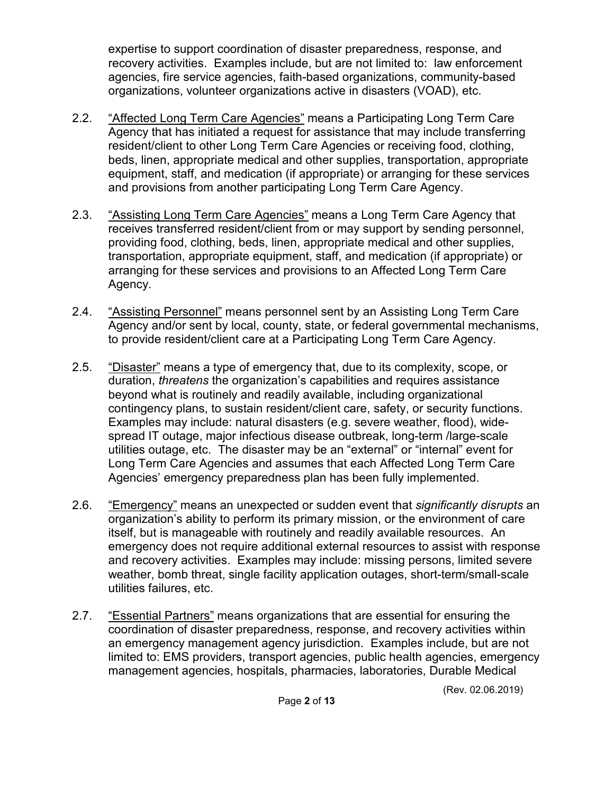expertise to support coordination of disaster preparedness, response, and recovery activities. Examples include, but are not limited to: law enforcement agencies, fire service agencies, faith-based organizations, community-based organizations, volunteer organizations active in disasters (VOAD), etc.

- 2.2. "Affected Long Term Care Agencies" means a Participating Long Term Care Agency that has initiated a request for assistance that may include transferring resident/client to other Long Term Care Agencies or receiving food, clothing, beds, linen, appropriate medical and other supplies, transportation, appropriate equipment, staff, and medication (if appropriate) or arranging for these services and provisions from another participating Long Term Care Agency.
- 2.3. "Assisting Long Term Care Agencies" means a Long Term Care Agency that receives transferred resident/client from or may support by sending personnel, providing food, clothing, beds, linen, appropriate medical and other supplies, transportation, appropriate equipment, staff, and medication (if appropriate) or arranging for these services and provisions to an Affected Long Term Care Agency.
- 2.4. "Assisting Personnel" means personnel sent by an Assisting Long Term Care Agency and/or sent by local, county, state, or federal governmental mechanisms, to provide resident/client care at a Participating Long Term Care Agency.
- 2.5. "Disaster" means a type of emergency that, due to its complexity, scope, or duration, *threatens* the organization's capabilities and requires assistance beyond what is routinely and readily available, including organizational contingency plans, to sustain resident/client care, safety, or security functions. Examples may include: natural disasters (e.g. severe weather, flood), widespread IT outage, major infectious disease outbreak, long-term /large-scale utilities outage, etc. The disaster may be an "external" or "internal" event for Long Term Care Agencies and assumes that each Affected Long Term Care Agencies' emergency preparedness plan has been fully implemented.
- 2.6. "Emergency" means an unexpected or sudden event that *significantly disrupts* an organization's ability to perform its primary mission, or the environment of care itself, but is manageable with routinely and readily available resources. An emergency does not require additional external resources to assist with response and recovery activities. Examples may include: missing persons, limited severe weather, bomb threat, single facility application outages, short-term/small-scale utilities failures, etc.
- 2.7. "Essential Partners" means organizations that are essential for ensuring the coordination of disaster preparedness, response, and recovery activities within an emergency management agency jurisdiction. Examples include, but are not limited to: EMS providers, transport agencies, public health agencies, emergency management agencies, hospitals, pharmacies, laboratories, Durable Medical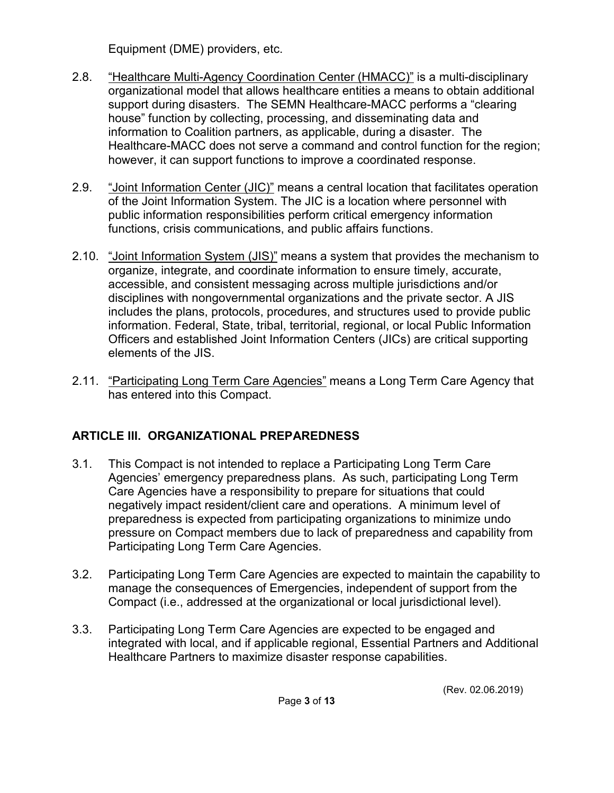Equipment (DME) providers, etc.

- 2.8. "Healthcare Multi-Agency Coordination Center (HMACC)" is a multi-disciplinary organizational model that allows healthcare entities a means to obtain additional support during disasters. The SEMN Healthcare-MACC performs a "clearing house" function by collecting, processing, and disseminating data and information to Coalition partners, as applicable, during a disaster. The Healthcare-MACC does not serve a command and control function for the region; however, it can support functions to improve a coordinated response.
- 2.9. "Joint Information Center (JIC)" means a central location that facilitates operation of the Joint Information System. The JIC is a location where personnel with public information responsibilities perform critical emergency information functions, crisis communications, and public affairs functions.
- 2.10. "Joint Information System (JIS)" means a system that provides the mechanism to organize, integrate, and coordinate information to ensure timely, accurate, accessible, and consistent messaging across multiple jurisdictions and/or disciplines with nongovernmental organizations and the private sector. A JIS includes the plans, protocols, procedures, and structures used to provide public information. Federal, State, tribal, territorial, regional, or local Public Information Officers and established Joint Information Centers (JICs) are critical supporting elements of the JIS.
- 2.11. "Participating Long Term Care Agencies" means a Long Term Care Agency that has entered into this Compact.

## **ARTICLE III. ORGANIZATIONAL PREPAREDNESS**

- 3.1. This Compact is not intended to replace a Participating Long Term Care Agencies' emergency preparedness plans. As such, participating Long Term Care Agencies have a responsibility to prepare for situations that could negatively impact resident/client care and operations. A minimum level of preparedness is expected from participating organizations to minimize undo pressure on Compact members due to lack of preparedness and capability from Participating Long Term Care Agencies.
- 3.2. Participating Long Term Care Agencies are expected to maintain the capability to manage the consequences of Emergencies, independent of support from the Compact (i.e., addressed at the organizational or local jurisdictional level).
- 3.3. Participating Long Term Care Agencies are expected to be engaged and integrated with local, and if applicable regional, Essential Partners and Additional Healthcare Partners to maximize disaster response capabilities.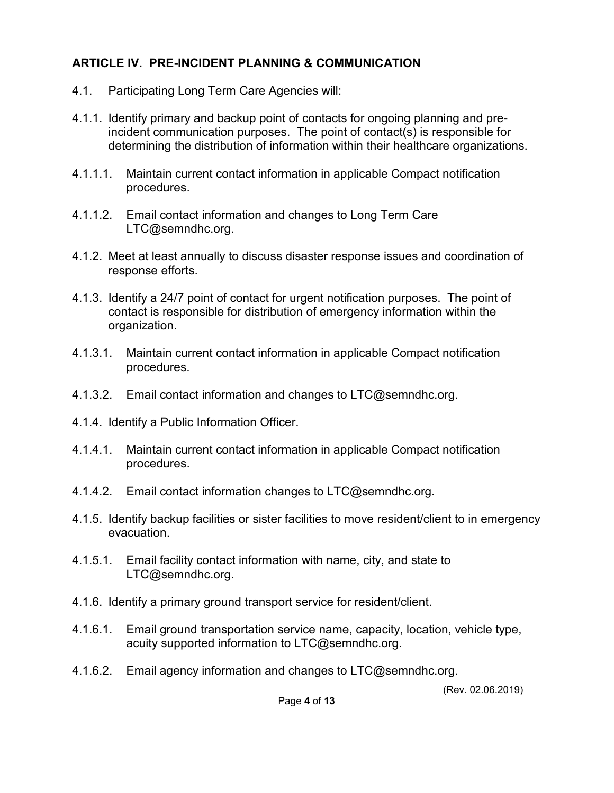### **ARTICLE IV. PRE-INCIDENT PLANNING & COMMUNICATION**

- 4.1. Participating Long Term Care Agencies will:
- 4.1.1. Identify primary and backup point of contacts for ongoing planning and preincident communication purposes. The point of contact(s) is responsible for determining the distribution of information within their healthcare organizations.
- 4.1.1.1. Maintain current contact information in applicable Compact notification procedures.
- 4.1.1.2. Email contact information and changes to Long Term Care LTC@semndhc.org.
- 4.1.2. Meet at least annually to discuss disaster response issues and coordination of response efforts.
- 4.1.3. Identify a 24/7 point of contact for urgent notification purposes. The point of contact is responsible for distribution of emergency information within the organization.
- 4.1.3.1. Maintain current contact information in applicable Compact notification procedures.
- 4.1.3.2. Email contact information and changes to LTC@semndhc.org.
- 4.1.4. Identify a Public Information Officer.
- 4.1.4.1. Maintain current contact information in applicable Compact notification procedures.
- 4.1.4.2. Email contact information changes to LTC@semndhc.org.
- 4.1.5. Identify backup facilities or sister facilities to move resident/client to in emergency evacuation.
- 4.1.5.1. Email facility contact information with name, city, and state to LTC@semndhc.org.
- 4.1.6. Identify a primary ground transport service for resident/client.
- 4.1.6.1. Email ground transportation service name, capacity, location, vehicle type, acuity supported information to LTC@semndhc.org.
- 4.1.6.2. Email agency information and changes to LTC@semndhc.org.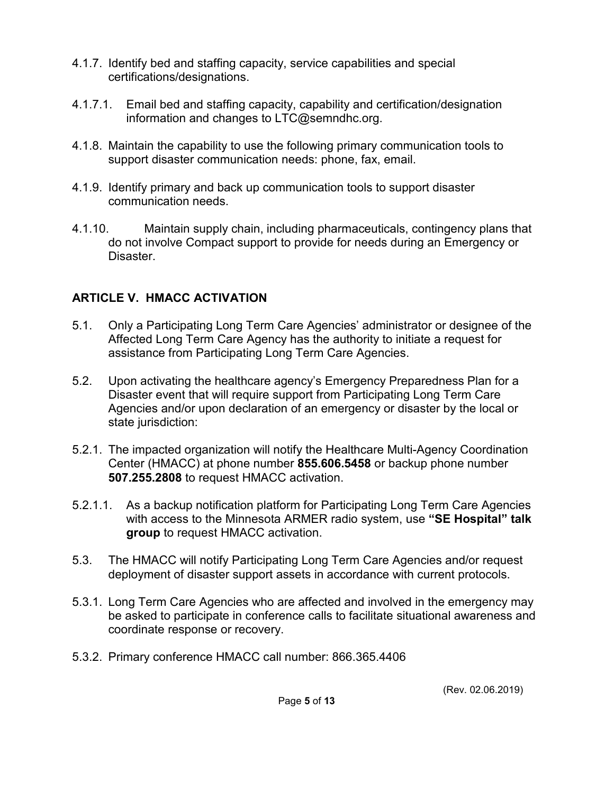- 4.1.7. Identify bed and staffing capacity, service capabilities and special certifications/designations.
- 4.1.7.1. Email bed and staffing capacity, capability and certification/designation information and changes to LTC@semndhc.org.
- 4.1.8. Maintain the capability to use the following primary communication tools to support disaster communication needs: phone, fax, email.
- 4.1.9. Identify primary and back up communication tools to support disaster communication needs.
- 4.1.10. Maintain supply chain, including pharmaceuticals, contingency plans that do not involve Compact support to provide for needs during an Emergency or Disaster.

### **ARTICLE V. HMACC ACTIVATION**

- 5.1. Only a Participating Long Term Care Agencies' administrator or designee of the Affected Long Term Care Agency has the authority to initiate a request for assistance from Participating Long Term Care Agencies.
- 5.2. Upon activating the healthcare agency's Emergency Preparedness Plan for a Disaster event that will require support from Participating Long Term Care Agencies and/or upon declaration of an emergency or disaster by the local or state jurisdiction:
- 5.2.1. The impacted organization will notify the Healthcare Multi-Agency Coordination Center (HMACC) at phone number **855.606.5458** or backup phone number **507.255.2808** to request HMACC activation.
- 5.2.1.1. As a backup notification platform for Participating Long Term Care Agencies with access to the Minnesota ARMER radio system, use **"SE Hospital" talk group** to request HMACC activation.
- 5.3. The HMACC will notify Participating Long Term Care Agencies and/or request deployment of disaster support assets in accordance with current protocols.
- 5.3.1. Long Term Care Agencies who are affected and involved in the emergency may be asked to participate in conference calls to facilitate situational awareness and coordinate response or recovery.
- 5.3.2. Primary conference HMACC call number: 866.365.4406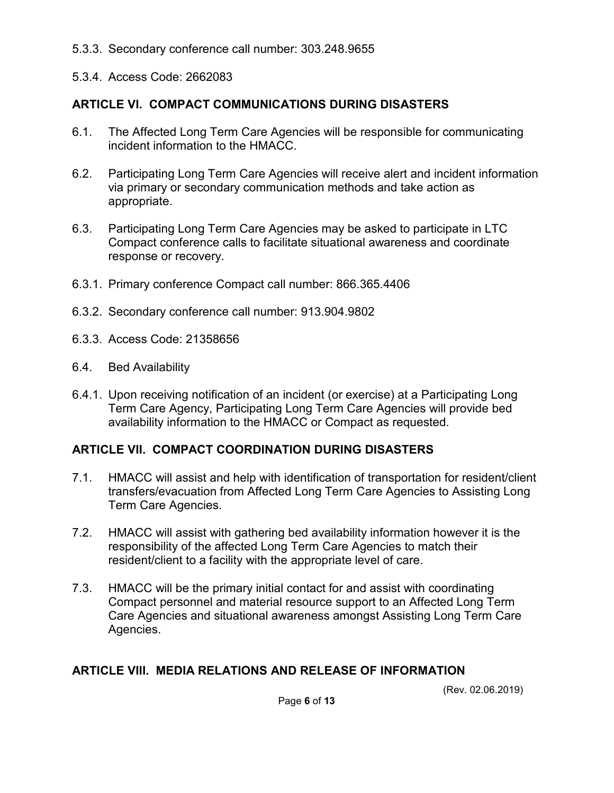- 5.3.3. Secondary conference call number: 303.248.9655
- 5.3.4. Access Code: 2662083

### **ARTICLE VI. COMPACT COMMUNICATIONS DURING DISASTERS**

- 6.1. The Affected Long Term Care Agencies will be responsible for communicating incident information to the HMACC.
- 6.2. Participating Long Term Care Agencies will receive alert and incident information via primary or secondary communication methods and take action as appropriate.
- 6.3. Participating Long Term Care Agencies may be asked to participate in LTC Compact conference calls to facilitate situational awareness and coordinate response or recovery.
- 6.3.1. Primary conference Compact call number: 866.365.4406
- 6.3.2. Secondary conference call number: 913.904.9802
- 6.3.3. Access Code: 21358656
- 6.4. Bed Availability
- 6.4.1. Upon receiving notification of an incident (or exercise) at a Participating Long Term Care Agency, Participating Long Term Care Agencies will provide bed availability information to the HMACC or Compact as requested.

#### **ARTICLE VII. COMPACT COORDINATION DURING DISASTERS**

- 7.1. HMACC will assist and help with identification of transportation for resident/client transfers/evacuation from Affected Long Term Care Agencies to Assisting Long Term Care Agencies.
- 7.2. HMACC will assist with gathering bed availability information however it is the responsibility of the affected Long Term Care Agencies to match their resident/client to a facility with the appropriate level of care.
- 7.3. HMACC will be the primary initial contact for and assist with coordinating Compact personnel and material resource support to an Affected Long Term Care Agencies and situational awareness amongst Assisting Long Term Care Agencies.

#### **ARTICLE VIII. MEDIA RELATIONS AND RELEASE OF INFORMATION**

(Rev. 02.06.2019)

Page **6** of **13**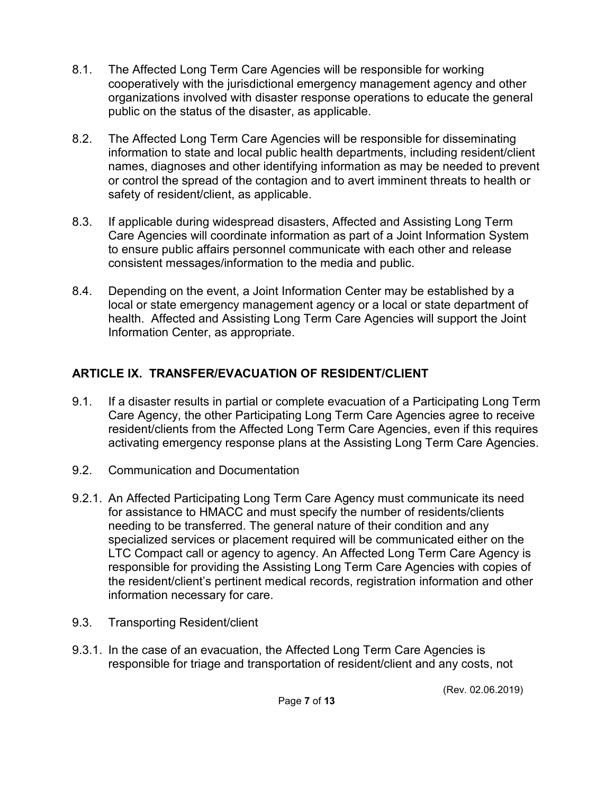- 8.1. The Affected Long Term Care Agencies will be responsible for working cooperatively with the jurisdictional emergency management agency and other organizations involved with disaster response operations to educate the general public on the status of the disaster, as applicable.
- 8.2. The Affected Long Term Care Agencies will be responsible for disseminating information to state and local public health departments, including resident/client names, diagnoses and other identifying information as may be needed to prevent or control the spread of the contagion and to avert imminent threats to health or safety of resident/client, as applicable.
- 8.3. If applicable during widespread disasters, Affected and Assisting Long Term Care Agencies will coordinate information as part of a Joint Information System to ensure public affairs personnel communicate with each other and release consistent messages/information to the media and public.
- 8.4. Depending on the event, a Joint Information Center may be established by a local or state emergency management agency or a local or state department of health. Affected and Assisting Long Term Care Agencies will support the Joint Information Center, as appropriate.

# **ARTICLE IX. TRANSFER/EVACUATION OF RESIDENT/CLIENT**

- 9.1. If a disaster results in partial or complete evacuation of a Participating Long Term Care Agency, the other Participating Long Term Care Agencies agree to receive resident/clients from the Affected Long Term Care Agencies, even if this requires activating emergency response plans at the Assisting Long Term Care Agencies.
- 9.2. Communication and Documentation
- 9.2.1. An Affected Participating Long Term Care Agency must communicate its need for assistance to HMACC and must specify the number of residents/clients needing to be transferred. The general nature of their condition and any specialized services or placement required will be communicated either on the LTC Compact call or agency to agency. An Affected Long Term Care Agency is responsible for providing the Assisting Long Term Care Agencies with copies of the resident/client's pertinent medical records, registration information and other information necessary for care.
- 9.3. Transporting Resident/client
- 9.3.1. In the case of an evacuation, the Affected Long Term Care Agencies is responsible for triage and transportation of resident/client and any costs, not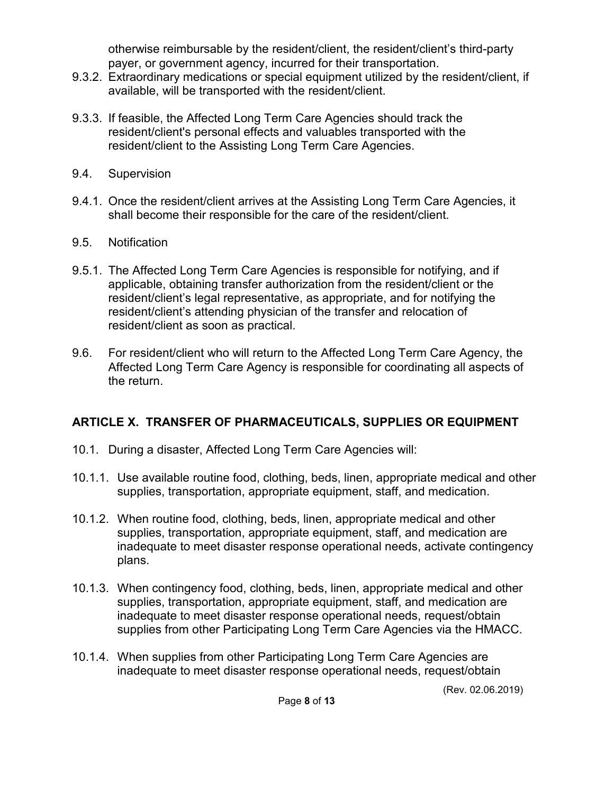otherwise reimbursable by the resident/client, the resident/client's third-party payer, or government agency, incurred for their transportation.

- 9.3.2. Extraordinary medications or special equipment utilized by the resident/client, if available, will be transported with the resident/client.
- 9.3.3. If feasible, the Affected Long Term Care Agencies should track the resident/client's personal effects and valuables transported with the resident/client to the Assisting Long Term Care Agencies.
- 9.4. Supervision
- 9.4.1. Once the resident/client arrives at the Assisting Long Term Care Agencies, it shall become their responsible for the care of the resident/client.
- 9.5. Notification
- 9.5.1. The Affected Long Term Care Agencies is responsible for notifying, and if applicable, obtaining transfer authorization from the resident/client or the resident/client's legal representative, as appropriate, and for notifying the resident/client's attending physician of the transfer and relocation of resident/client as soon as practical.
- 9.6. For resident/client who will return to the Affected Long Term Care Agency, the Affected Long Term Care Agency is responsible for coordinating all aspects of the return.

## **ARTICLE X. TRANSFER OF PHARMACEUTICALS, SUPPLIES OR EQUIPMENT**

- 10.1. During a disaster, Affected Long Term Care Agencies will:
- 10.1.1. Use available routine food, clothing, beds, linen, appropriate medical and other supplies, transportation, appropriate equipment, staff, and medication.
- 10.1.2. When routine food, clothing, beds, linen, appropriate medical and other supplies, transportation, appropriate equipment, staff, and medication are inadequate to meet disaster response operational needs, activate contingency plans.
- 10.1.3. When contingency food, clothing, beds, linen, appropriate medical and other supplies, transportation, appropriate equipment, staff, and medication are inadequate to meet disaster response operational needs, request/obtain supplies from other Participating Long Term Care Agencies via the HMACC.
- 10.1.4. When supplies from other Participating Long Term Care Agencies are inadequate to meet disaster response operational needs, request/obtain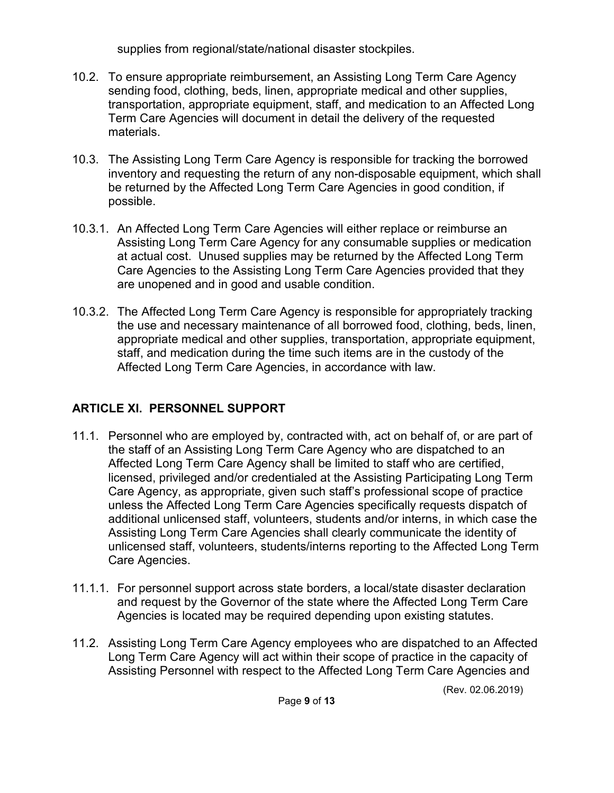supplies from regional/state/national disaster stockpiles.

- 10.2. To ensure appropriate reimbursement, an Assisting Long Term Care Agency sending food, clothing, beds, linen, appropriate medical and other supplies, transportation, appropriate equipment, staff, and medication to an Affected Long Term Care Agencies will document in detail the delivery of the requested materials.
- 10.3. The Assisting Long Term Care Agency is responsible for tracking the borrowed inventory and requesting the return of any non-disposable equipment, which shall be returned by the Affected Long Term Care Agencies in good condition, if possible.
- 10.3.1. An Affected Long Term Care Agencies will either replace or reimburse an Assisting Long Term Care Agency for any consumable supplies or medication at actual cost. Unused supplies may be returned by the Affected Long Term Care Agencies to the Assisting Long Term Care Agencies provided that they are unopened and in good and usable condition.
- 10.3.2. The Affected Long Term Care Agency is responsible for appropriately tracking the use and necessary maintenance of all borrowed food, clothing, beds, linen, appropriate medical and other supplies, transportation, appropriate equipment, staff, and medication during the time such items are in the custody of the Affected Long Term Care Agencies, in accordance with law.

# **ARTICLE XI. PERSONNEL SUPPORT**

- 11.1. Personnel who are employed by, contracted with, act on behalf of, or are part of the staff of an Assisting Long Term Care Agency who are dispatched to an Affected Long Term Care Agency shall be limited to staff who are certified, licensed, privileged and/or credentialed at the Assisting Participating Long Term Care Agency, as appropriate, given such staff's professional scope of practice unless the Affected Long Term Care Agencies specifically requests dispatch of additional unlicensed staff, volunteers, students and/or interns, in which case the Assisting Long Term Care Agencies shall clearly communicate the identity of unlicensed staff, volunteers, students/interns reporting to the Affected Long Term Care Agencies.
- 11.1.1. For personnel support across state borders, a local/state disaster declaration and request by the Governor of the state where the Affected Long Term Care Agencies is located may be required depending upon existing statutes.
- 11.2. Assisting Long Term Care Agency employees who are dispatched to an Affected Long Term Care Agency will act within their scope of practice in the capacity of Assisting Personnel with respect to the Affected Long Term Care Agencies and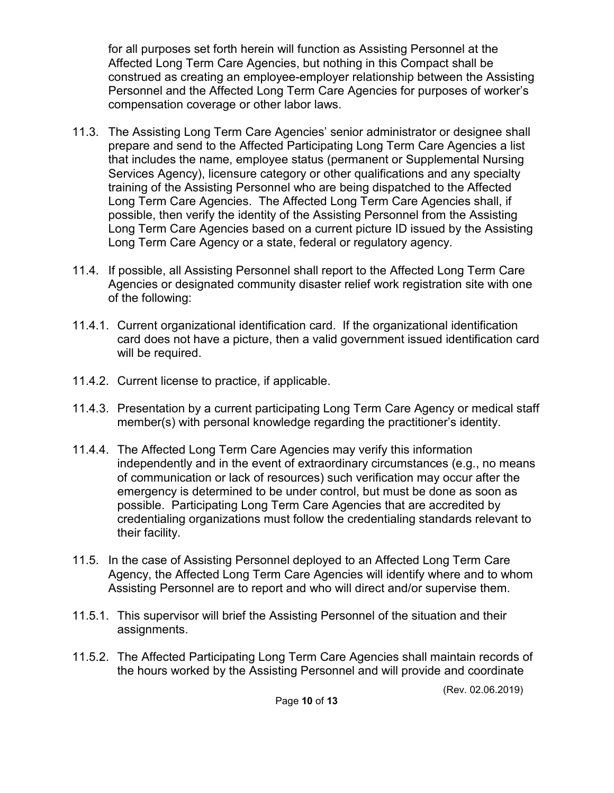for all purposes set forth herein will function as Assisting Personnel at the Affected Long Term Care Agencies, but nothing in this Compact shall be construed as creating an employee-employer relationship between the Assisting Personnel and the Affected Long Term Care Agencies for purposes of worker's compensation coverage or other labor laws.

- 11.3. The Assisting Long Term Care Agencies' senior administrator or designee shall prepare and send to the Affected Participating Long Term Care Agencies a list that includes the name, employee status (permanent or Supplemental Nursing Services Agency), licensure category or other qualifications and any specialty training of the Assisting Personnel who are being dispatched to the Affected Long Term Care Agencies. The Affected Long Term Care Agencies shall, if possible, then verify the identity of the Assisting Personnel from the Assisting Long Term Care Agencies based on a current picture ID issued by the Assisting Long Term Care Agency or a state, federal or regulatory agency.
- 11.4. If possible, all Assisting Personnel shall report to the Affected Long Term Care Agencies or designated community disaster relief work registration site with one of the following:
- 11.4.1. Current organizational identification card. If the organizational identification card does not have a picture, then a valid government issued identification card will be required.
- 11.4.2. Current license to practice, if applicable.
- 11.4.3. Presentation by a current participating Long Term Care Agency or medical staff member(s) with personal knowledge regarding the practitioner's identity.
- 11.4.4. The Affected Long Term Care Agencies may verify this information independently and in the event of extraordinary circumstances (e.g., no means of communication or lack of resources) such verification may occur after the emergency is determined to be under control, but must be done as soon as possible. Participating Long Term Care Agencies that are accredited by credentialing organizations must follow the credentialing standards relevant to their facility.
- 11.5. In the case of Assisting Personnel deployed to an Affected Long Term Care Agency, the Affected Long Term Care Agencies will identify where and to whom Assisting Personnel are to report and who will direct and/or supervise them.
- 11.5.1. This supervisor will brief the Assisting Personnel of the situation and their assignments.
- 11.5.2. The Affected Participating Long Term Care Agencies shall maintain records of the hours worked by the Assisting Personnel and will provide and coordinate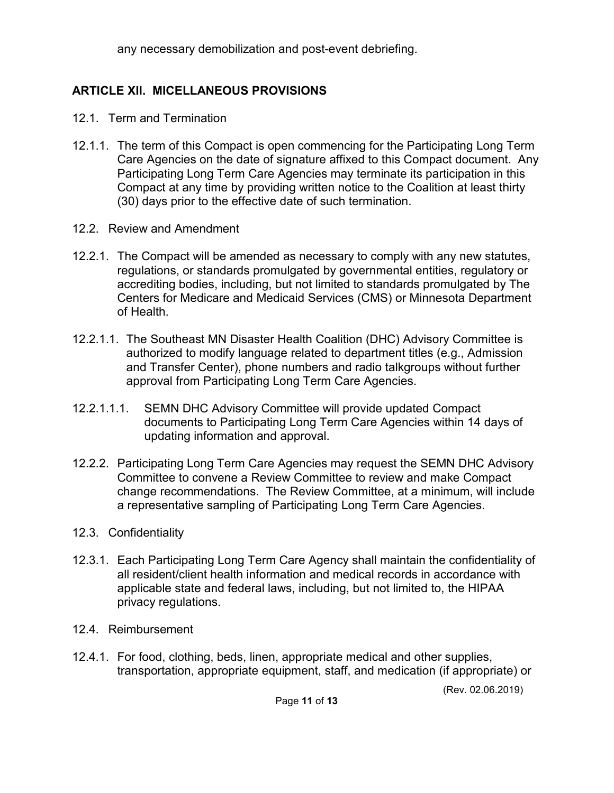any necessary demobilization and post-event debriefing.

# **ARTICLE XII. MICELLANEOUS PROVISIONS**

- 12.1. Term and Termination
- 12.1.1. The term of this Compact is open commencing for the Participating Long Term Care Agencies on the date of signature affixed to this Compact document. Any Participating Long Term Care Agencies may terminate its participation in this Compact at any time by providing written notice to the Coalition at least thirty (30) days prior to the effective date of such termination.
- 12.2. Review and Amendment
- 12.2.1. The Compact will be amended as necessary to comply with any new statutes, regulations, or standards promulgated by governmental entities, regulatory or accrediting bodies, including, but not limited to standards promulgated by The Centers for Medicare and Medicaid Services (CMS) or Minnesota Department of Health.
- 12.2.1.1. The Southeast MN Disaster Health Coalition (DHC) Advisory Committee is authorized to modify language related to department titles (e.g., Admission and Transfer Center), phone numbers and radio talkgroups without further approval from Participating Long Term Care Agencies.
- 12.2.1.1.1. SEMN DHC Advisory Committee will provide updated Compact documents to Participating Long Term Care Agencies within 14 days of updating information and approval.
- 12.2.2. Participating Long Term Care Agencies may request the SEMN DHC Advisory Committee to convene a Review Committee to review and make Compact change recommendations. The Review Committee, at a minimum, will include a representative sampling of Participating Long Term Care Agencies.
- 12.3. Confidentiality
- 12.3.1. Each Participating Long Term Care Agency shall maintain the confidentiality of all resident/client health information and medical records in accordance with applicable state and federal laws, including, but not limited to, the HIPAA privacy regulations.
- 12.4. Reimbursement
- 12.4.1. For food, clothing, beds, linen, appropriate medical and other supplies, transportation, appropriate equipment, staff, and medication (if appropriate) or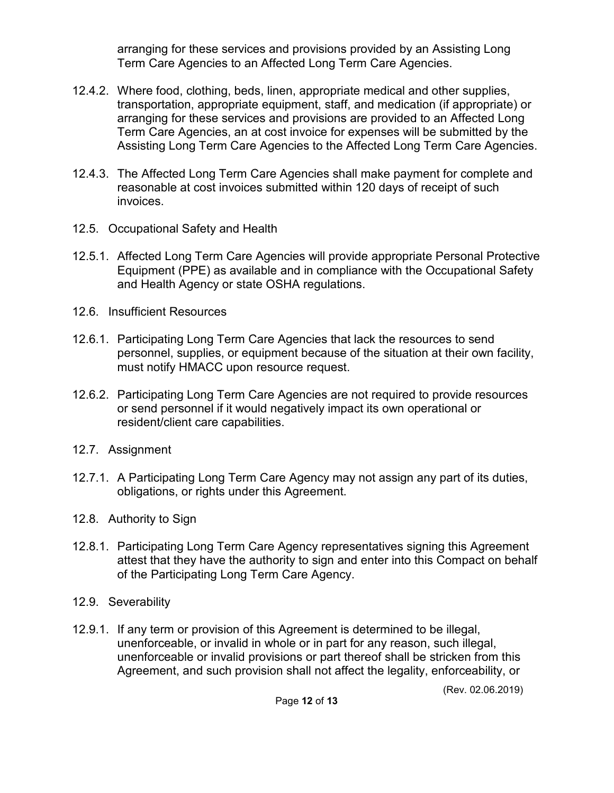arranging for these services and provisions provided by an Assisting Long Term Care Agencies to an Affected Long Term Care Agencies.

- 12.4.2. Where food, clothing, beds, linen, appropriate medical and other supplies, transportation, appropriate equipment, staff, and medication (if appropriate) or arranging for these services and provisions are provided to an Affected Long Term Care Agencies, an at cost invoice for expenses will be submitted by the Assisting Long Term Care Agencies to the Affected Long Term Care Agencies.
- 12.4.3. The Affected Long Term Care Agencies shall make payment for complete and reasonable at cost invoices submitted within 120 days of receipt of such invoices.
- 12.5. Occupational Safety and Health
- 12.5.1. Affected Long Term Care Agencies will provide appropriate Personal Protective Equipment (PPE) as available and in compliance with the Occupational Safety and Health Agency or state OSHA regulations.
- 12.6. Insufficient Resources
- 12.6.1. Participating Long Term Care Agencies that lack the resources to send personnel, supplies, or equipment because of the situation at their own facility, must notify HMACC upon resource request.
- 12.6.2. Participating Long Term Care Agencies are not required to provide resources or send personnel if it would negatively impact its own operational or resident/client care capabilities.
- 12.7. Assignment
- 12.7.1. A Participating Long Term Care Agency may not assign any part of its duties, obligations, or rights under this Agreement.
- 12.8. Authority to Sign
- 12.8.1. Participating Long Term Care Agency representatives signing this Agreement attest that they have the authority to sign and enter into this Compact on behalf of the Participating Long Term Care Agency.
- 12.9. Severability
- 12.9.1. If any term or provision of this Agreement is determined to be illegal, unenforceable, or invalid in whole or in part for any reason, such illegal, unenforceable or invalid provisions or part thereof shall be stricken from this Agreement, and such provision shall not affect the legality, enforceability, or